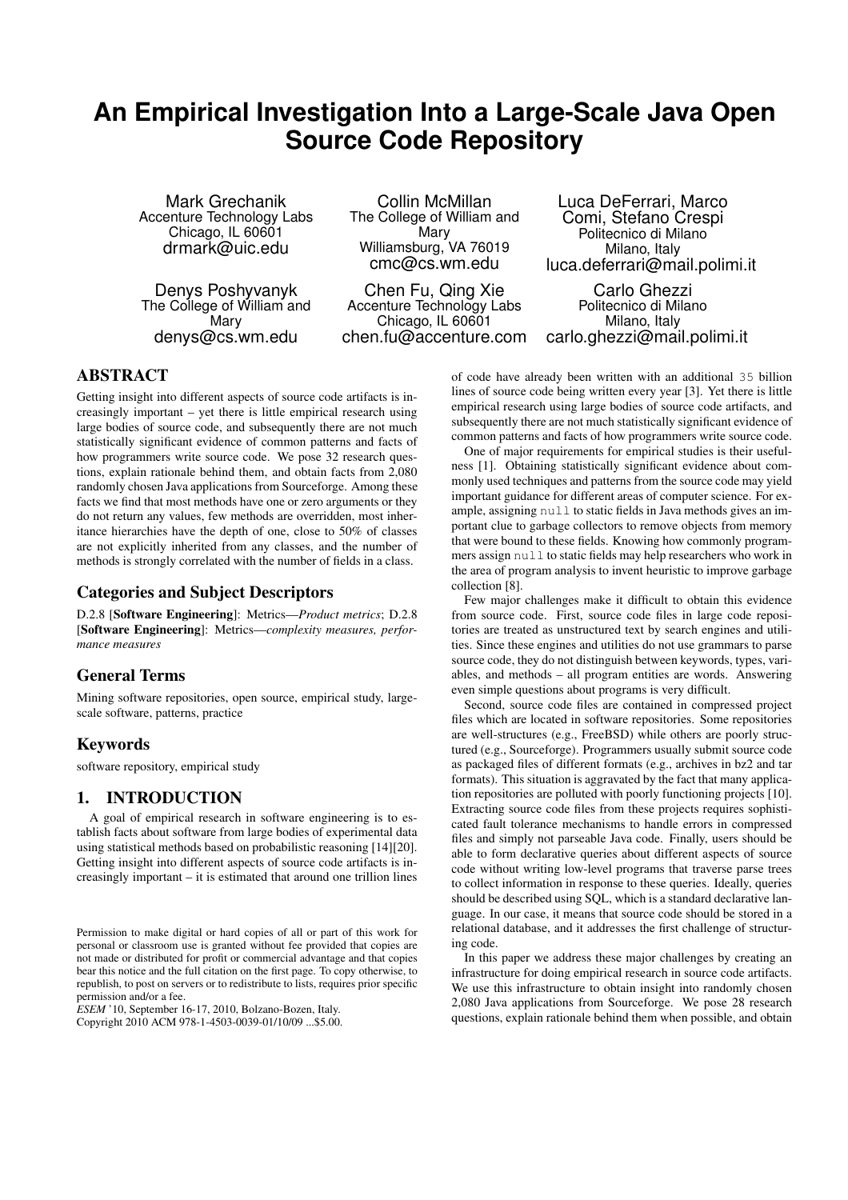# **An Empirical Investigation Into a Large-Scale Java Open Source Code Repository**

Mark Grechanik Accenture Technology Labs Chicago, IL 60601 drmark@uic.edu

Denys Poshyvanyk The College of William and **Mary** denys@cs.wm.edu

Collin McMillan The College of William and **Mary** Williamsburg, VA 76019 cmc@cs.wm.edu

Chen Fu, Qing Xie Accenture Technology Labs Chicago, IL 60601 chen.fu@accenture.com

Luca DeFerrari, Marco Comi, Stefano Crespi Politecnico di Milano Milano, Italy luca.deferrari@mail.polimi.it

Carlo Ghezzi Politecnico di Milano Milano, Italy carlo.ghezzi@mail.polimi.it

# ABSTRACT

Getting insight into different aspects of source code artifacts is increasingly important – yet there is little empirical research using large bodies of source code, and subsequently there are not much statistically significant evidence of common patterns and facts of how programmers write source code. We pose 32 research questions, explain rationale behind them, and obtain facts from 2,080 randomly chosen Java applications from Sourceforge. Among these facts we find that most methods have one or zero arguments or they do not return any values, few methods are overridden, most inheritance hierarchies have the depth of one, close to 50% of classes are not explicitly inherited from any classes, and the number of methods is strongly correlated with the number of fields in a class.

## Categories and Subject Descriptors

D.2.8 [Software Engineering]: Metrics—*Product metrics*; D.2.8 [Software Engineering]: Metrics—*complexity measures, performance measures*

## General Terms

Mining software repositories, open source, empirical study, largescale software, patterns, practice

# Keywords

software repository, empirical study

# 1. INTRODUCTION

A goal of empirical research in software engineering is to establish facts about software from large bodies of experimental data using statistical methods based on probabilistic reasoning [14][20]. Getting insight into different aspects of source code artifacts is increasingly important – it is estimated that around one trillion lines

*ESEM* '10, September 16-17, 2010, Bolzano-Bozen, Italy. Copyright 2010 ACM 978-1-4503-0039-01/10/09 ...\$5.00. of code have already been written with an additional 35 billion lines of source code being written every year [3]. Yet there is little empirical research using large bodies of source code artifacts, and subsequently there are not much statistically significant evidence of common patterns and facts of how programmers write source code.

One of major requirements for empirical studies is their usefulness [1]. Obtaining statistically significant evidence about commonly used techniques and patterns from the source code may yield important guidance for different areas of computer science. For example, assigning null to static fields in Java methods gives an important clue to garbage collectors to remove objects from memory that were bound to these fields. Knowing how commonly programmers assign null to static fields may help researchers who work in the area of program analysis to invent heuristic to improve garbage collection [8].

Few major challenges make it difficult to obtain this evidence from source code. First, source code files in large code repositories are treated as unstructured text by search engines and utilities. Since these engines and utilities do not use grammars to parse source code, they do not distinguish between keywords, types, variables, and methods – all program entities are words. Answering even simple questions about programs is very difficult.

Second, source code files are contained in compressed project files which are located in software repositories. Some repositories are well-structures (e.g., FreeBSD) while others are poorly structured (e.g., Sourceforge). Programmers usually submit source code as packaged files of different formats (e.g., archives in bz2 and tar formats). This situation is aggravated by the fact that many application repositories are polluted with poorly functioning projects [10]. Extracting source code files from these projects requires sophisticated fault tolerance mechanisms to handle errors in compressed files and simply not parseable Java code. Finally, users should be able to form declarative queries about different aspects of source code without writing low-level programs that traverse parse trees to collect information in response to these queries. Ideally, queries should be described using SQL, which is a standard declarative language. In our case, it means that source code should be stored in a relational database, and it addresses the first challenge of structuring code.

In this paper we address these major challenges by creating an infrastructure for doing empirical research in source code artifacts. We use this infrastructure to obtain insight into randomly chosen 2,080 Java applications from Sourceforge. We pose 28 research questions, explain rationale behind them when possible, and obtain

Permission to make digital or hard copies of all or part of this work for personal or classroom use is granted without fee provided that copies are not made or distributed for profit or commercial advantage and that copies bear this notice and the full citation on the first page. To copy otherwise, to republish, to post on servers or to redistribute to lists, requires prior specific permission and/or a fee.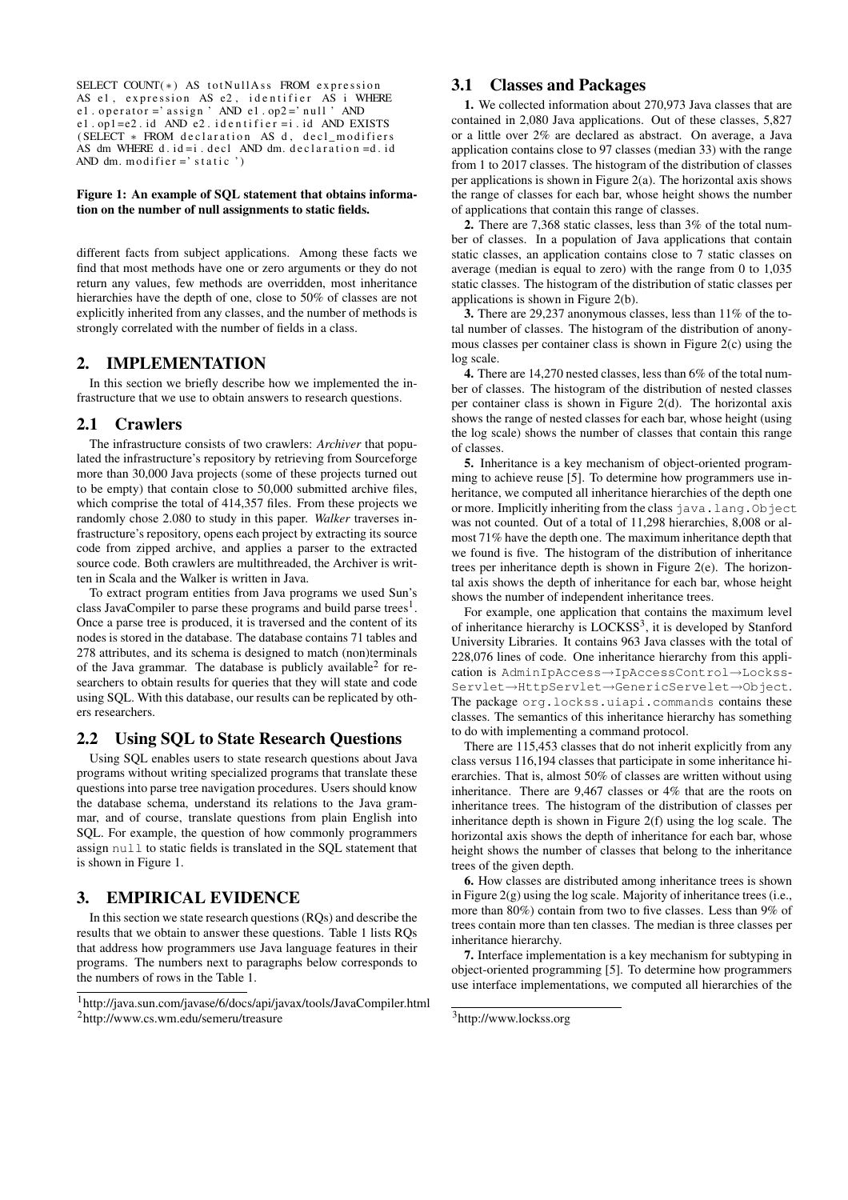SELECT COUNT $(*)$  AS tot Null Ass FROM expression AS el, expression AS e2, identifier AS i WHERE e1. operator = 'assign ' AND e1. op2 = ' null ' AND e1.  $op1=e2$ . id AND  $e2$ . identifier = i. id AND EXISTS  $(SELECT * FROM declaration AS d, decl_modifiers$ AS dm WHERE d.  $id = i$ . decl AND dm. declaration =d. id AND dm. modifier  $=$ ' static ')

Figure 1: An example of SQL statement that obtains information on the number of null assignments to static fields.

different facts from subject applications. Among these facts we find that most methods have one or zero arguments or they do not return any values, few methods are overridden, most inheritance hierarchies have the depth of one, close to 50% of classes are not explicitly inherited from any classes, and the number of methods is strongly correlated with the number of fields in a class.

#### 2. IMPLEMENTATION

In this section we briefly describe how we implemented the infrastructure that we use to obtain answers to research questions.

#### 2.1 Crawlers

The infrastructure consists of two crawlers: *Archiver* that populated the infrastructure's repository by retrieving from Sourceforge more than 30,000 Java projects (some of these projects turned out to be empty) that contain close to 50,000 submitted archive files, which comprise the total of 414,357 files. From these projects we randomly chose 2.080 to study in this paper. *Walker* traverses infrastructure's repository, opens each project by extracting its source code from zipped archive, and applies a parser to the extracted source code. Both crawlers are multithreaded, the Archiver is written in Scala and the Walker is written in Java.

To extract program entities from Java programs we used Sun's class JavaCompiler to parse these programs and build parse trees<sup>1</sup>. Once a parse tree is produced, it is traversed and the content of its nodes is stored in the database. The database contains 71 tables and 278 attributes, and its schema is designed to match (non)terminals of the Java grammar. The database is publicly available<sup>2</sup> for researchers to obtain results for queries that they will state and code using SQL. With this database, our results can be replicated by others researchers.

## 2.2 Using SQL to State Research Questions

Using SQL enables users to state research questions about Java programs without writing specialized programs that translate these questions into parse tree navigation procedures. Users should know the database schema, understand its relations to the Java grammar, and of course, translate questions from plain English into SQL. For example, the question of how commonly programmers assign null to static fields is translated in the SQL statement that is shown in Figure 1.

## 3. EMPIRICAL EVIDENCE

In this section we state research questions (RQs) and describe the results that we obtain to answer these questions. Table 1 lists RQs that address how programmers use Java language features in their programs. The numbers next to paragraphs below corresponds to the numbers of rows in the Table 1.

## 3.1 Classes and Packages

1. We collected information about 270,973 Java classes that are contained in 2,080 Java applications. Out of these classes, 5,827 or a little over 2% are declared as abstract. On average, a Java application contains close to 97 classes (median 33) with the range from 1 to 2017 classes. The histogram of the distribution of classes per applications is shown in Figure 2(a). The horizontal axis shows the range of classes for each bar, whose height shows the number of applications that contain this range of classes.

2. There are 7,368 static classes, less than 3% of the total number of classes. In a population of Java applications that contain static classes, an application contains close to 7 static classes on average (median is equal to zero) with the range from 0 to 1,035 static classes. The histogram of the distribution of static classes per applications is shown in Figure 2(b).

3. There are 29,237 anonymous classes, less than 11% of the total number of classes. The histogram of the distribution of anonymous classes per container class is shown in Figure 2(c) using the log scale.

4. There are 14,270 nested classes, less than 6% of the total number of classes. The histogram of the distribution of nested classes per container class is shown in Figure 2(d). The horizontal axis shows the range of nested classes for each bar, whose height (using the log scale) shows the number of classes that contain this range of classes.

5. Inheritance is a key mechanism of object-oriented programming to achieve reuse [5]. To determine how programmers use inheritance, we computed all inheritance hierarchies of the depth one or more. Implicitly inheriting from the class java.lang.Object was not counted. Out of a total of 11,298 hierarchies, 8,008 or almost 71% have the depth one. The maximum inheritance depth that we found is five. The histogram of the distribution of inheritance trees per inheritance depth is shown in Figure 2(e). The horizontal axis shows the depth of inheritance for each bar, whose height shows the number of independent inheritance trees.

For example, one application that contains the maximum level of inheritance hierarchy is LOCKSS<sup>3</sup>, it is developed by Stanford University Libraries. It contains 963 Java classes with the total of 228,076 lines of code. One inheritance hierarchy from this application is AdminIpAccess→IpAccessControl→Lockss-Servlet→HttpServlet→GenericServelet→Object. The package org.lockss.uiapi.commands contains these classes. The semantics of this inheritance hierarchy has something to do with implementing a command protocol.

There are 115,453 classes that do not inherit explicitly from any class versus 116,194 classes that participate in some inheritance hierarchies. That is, almost 50% of classes are written without using inheritance. There are 9,467 classes or 4% that are the roots on inheritance trees. The histogram of the distribution of classes per inheritance depth is shown in Figure 2(f) using the log scale. The horizontal axis shows the depth of inheritance for each bar, whose height shows the number of classes that belong to the inheritance trees of the given depth.

6. How classes are distributed among inheritance trees is shown in Figure 2(g) using the log scale. Majority of inheritance trees (i.e., more than 80%) contain from two to five classes. Less than 9% of trees contain more than ten classes. The median is three classes per inheritance hierarchy.

7. Interface implementation is a key mechanism for subtyping in object-oriented programming [5]. To determine how programmers use interface implementations, we computed all hierarchies of the

<sup>1</sup>http://java.sun.com/javase/6/docs/api/javax/tools/JavaCompiler.html <sup>2</sup>http://www.cs.wm.edu/semeru/treasure

<sup>3</sup>http://www.lockss.org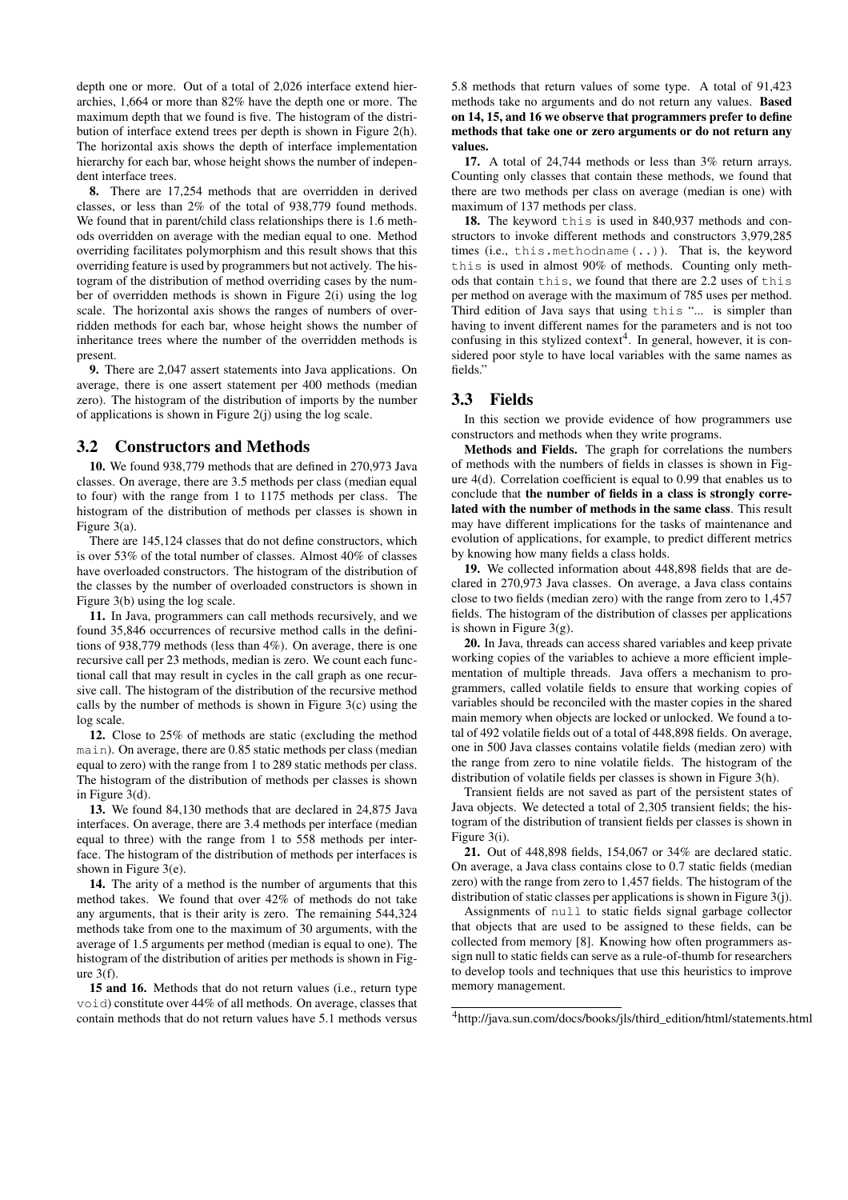depth one or more. Out of a total of 2,026 interface extend hierarchies, 1,664 or more than 82% have the depth one or more. The maximum depth that we found is five. The histogram of the distribution of interface extend trees per depth is shown in Figure 2(h). The horizontal axis shows the depth of interface implementation hierarchy for each bar, whose height shows the number of independent interface trees.

8. There are 17,254 methods that are overridden in derived classes, or less than 2% of the total of 938,779 found methods. We found that in parent/child class relationships there is 1.6 methods overridden on average with the median equal to one. Method overriding facilitates polymorphism and this result shows that this overriding feature is used by programmers but not actively. The histogram of the distribution of method overriding cases by the number of overridden methods is shown in Figure 2(i) using the log scale. The horizontal axis shows the ranges of numbers of overridden methods for each bar, whose height shows the number of inheritance trees where the number of the overridden methods is present.

9. There are 2,047 assert statements into Java applications. On average, there is one assert statement per 400 methods (median zero). The histogram of the distribution of imports by the number of applications is shown in Figure 2(j) using the log scale.

#### 3.2 Constructors and Methods

10. We found 938,779 methods that are defined in 270,973 Java classes. On average, there are 3.5 methods per class (median equal to four) with the range from 1 to 1175 methods per class. The histogram of the distribution of methods per classes is shown in Figure 3(a).

There are 145,124 classes that do not define constructors, which is over 53% of the total number of classes. Almost 40% of classes have overloaded constructors. The histogram of the distribution of the classes by the number of overloaded constructors is shown in Figure 3(b) using the log scale.

11. In Java, programmers can call methods recursively, and we found 35,846 occurrences of recursive method calls in the definitions of 938,779 methods (less than 4%). On average, there is one recursive call per 23 methods, median is zero. We count each functional call that may result in cycles in the call graph as one recursive call. The histogram of the distribution of the recursive method calls by the number of methods is shown in Figure 3(c) using the log scale.

12. Close to 25% of methods are static (excluding the method main). On average, there are 0.85 static methods per class (median equal to zero) with the range from 1 to 289 static methods per class. The histogram of the distribution of methods per classes is shown in Figure 3(d).

13. We found 84,130 methods that are declared in 24,875 Java interfaces. On average, there are 3.4 methods per interface (median equal to three) with the range from 1 to 558 methods per interface. The histogram of the distribution of methods per interfaces is shown in Figure 3(e).

14. The arity of a method is the number of arguments that this method takes. We found that over 42% of methods do not take any arguments, that is their arity is zero. The remaining 544,324 methods take from one to the maximum of 30 arguments, with the average of 1.5 arguments per method (median is equal to one). The histogram of the distribution of arities per methods is shown in Figure  $3(f)$ .

15 and 16. Methods that do not return values (i.e., return type void) constitute over 44% of all methods. On average, classes that contain methods that do not return values have 5.1 methods versus

5.8 methods that return values of some type. A total of 91,423 methods take no arguments and do not return any values. Based on 14, 15, and 16 we observe that programmers prefer to define methods that take one or zero arguments or do not return any values.

17. A total of 24,744 methods or less than 3% return arrays. Counting only classes that contain these methods, we found that there are two methods per class on average (median is one) with maximum of 137 methods per class.

18. The keyword this is used in 840,937 methods and constructors to invoke different methods and constructors 3,979,285 times (i.e., this.methodname(..)). That is, the keyword this is used in almost 90% of methods. Counting only methods that contain this, we found that there are 2.2 uses of this per method on average with the maximum of 785 uses per method. Third edition of Java says that using this "... is simpler than having to invent different names for the parameters and is not too confusing in this stylized context<sup>4</sup>. In general, however, it is considered poor style to have local variables with the same names as fields."

#### 3.3 Fields

In this section we provide evidence of how programmers use constructors and methods when they write programs.

Methods and Fields. The graph for correlations the numbers of methods with the numbers of fields in classes is shown in Figure 4(d). Correlation coefficient is equal to 0.99 that enables us to conclude that the number of fields in a class is strongly correlated with the number of methods in the same class. This result may have different implications for the tasks of maintenance and evolution of applications, for example, to predict different metrics by knowing how many fields a class holds.

19. We collected information about 448,898 fields that are declared in 270,973 Java classes. On average, a Java class contains close to two fields (median zero) with the range from zero to 1,457 fields. The histogram of the distribution of classes per applications is shown in Figure  $3(g)$ .

20. In Java, threads can access shared variables and keep private working copies of the variables to achieve a more efficient implementation of multiple threads. Java offers a mechanism to programmers, called volatile fields to ensure that working copies of variables should be reconciled with the master copies in the shared main memory when objects are locked or unlocked. We found a total of 492 volatile fields out of a total of 448,898 fields. On average, one in 500 Java classes contains volatile fields (median zero) with the range from zero to nine volatile fields. The histogram of the distribution of volatile fields per classes is shown in Figure 3(h).

Transient fields are not saved as part of the persistent states of Java objects. We detected a total of 2,305 transient fields; the histogram of the distribution of transient fields per classes is shown in Figure 3(i).

21. Out of 448,898 fields, 154,067 or 34% are declared static. On average, a Java class contains close to 0.7 static fields (median zero) with the range from zero to 1,457 fields. The histogram of the distribution of static classes per applications is shown in Figure 3(j).

Assignments of null to static fields signal garbage collector that objects that are used to be assigned to these fields, can be collected from memory [8]. Knowing how often programmers assign null to static fields can serve as a rule-of-thumb for researchers to develop tools and techniques that use this heuristics to improve memory management.

<sup>4</sup>http://java.sun.com/docs/books/jls/third\_edition/html/statements.html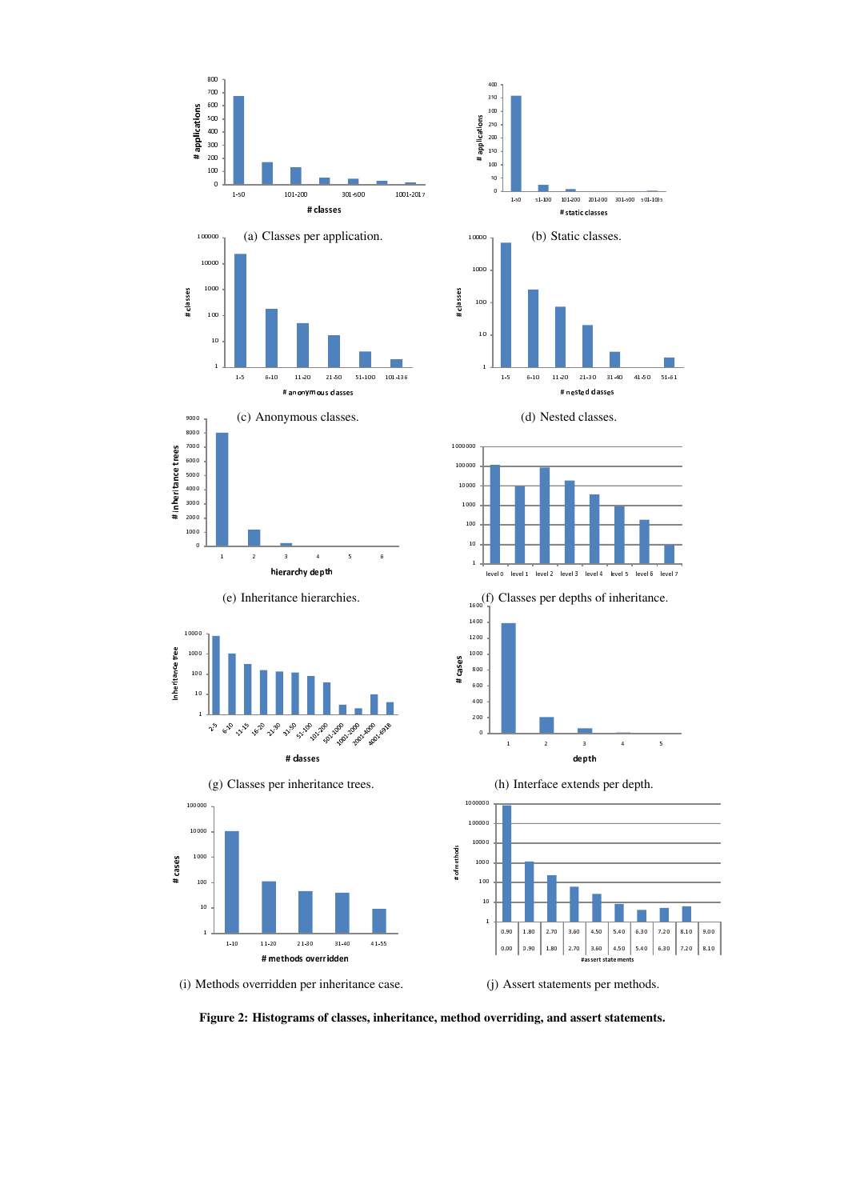

Figure 2: Histograms of classes, inheritance, method overriding, and assert statements.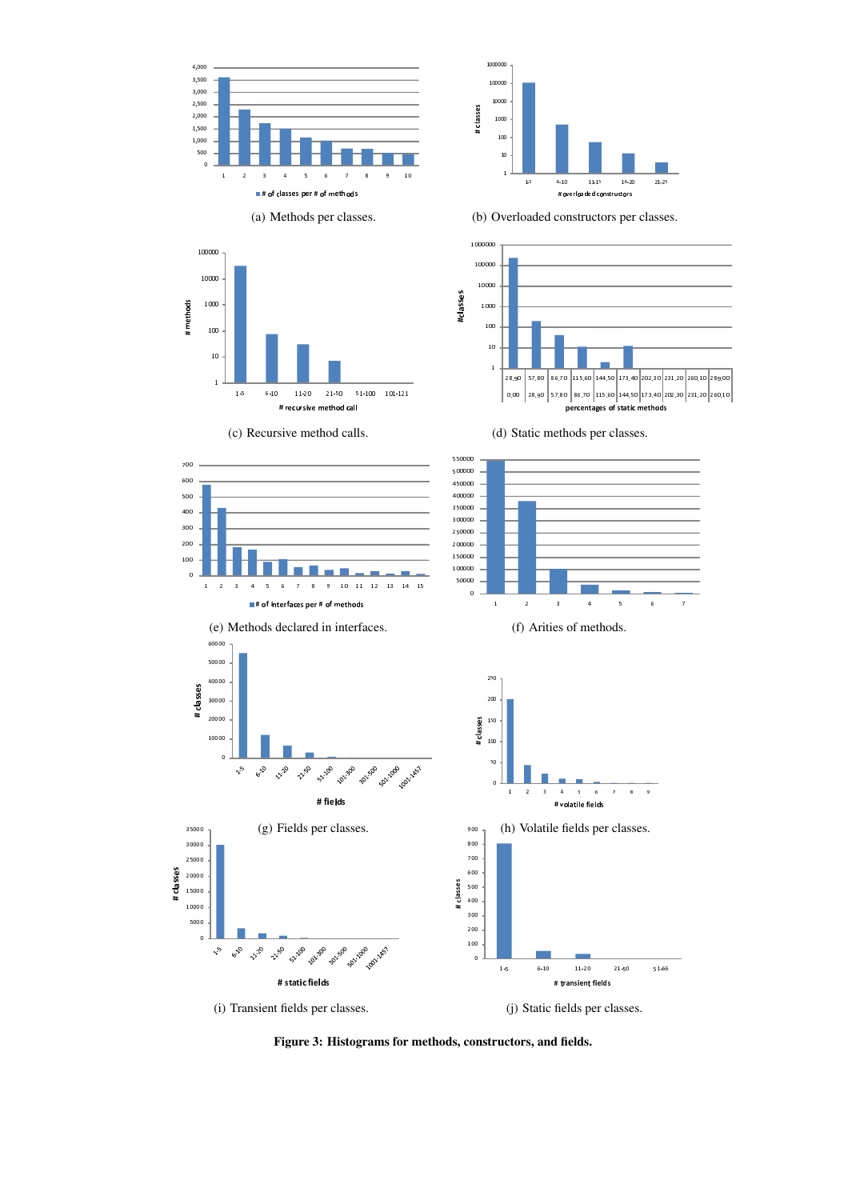



700



(b) Overloaded constructors per classes.





Figure 3: Histograms for methods, constructors, and fields.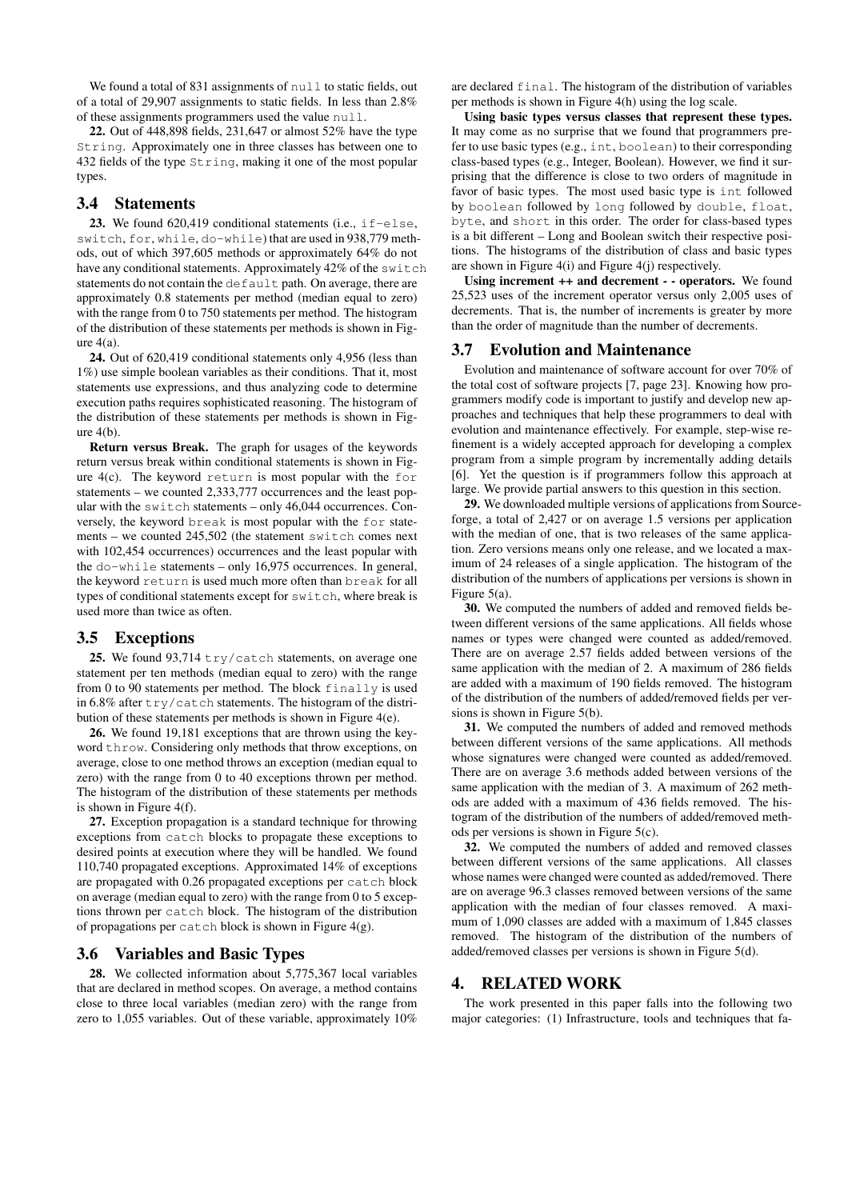We found a total of 831 assignments of null to static fields, out of a total of 29,907 assignments to static fields. In less than 2.8% of these assignments programmers used the value null.

22. Out of 448,898 fields, 231,647 or almost 52% have the type String. Approximately one in three classes has between one to 432 fields of the type String, making it one of the most popular types.

## 3.4 Statements

23. We found 620,419 conditional statements (i.e., if-else, switch, for, while, do-while) that are used in 938,779 methods, out of which 397,605 methods or approximately 64% do not have any conditional statements. Approximately 42% of the switch statements do not contain the default path. On average, there are approximately 0.8 statements per method (median equal to zero) with the range from 0 to 750 statements per method. The histogram of the distribution of these statements per methods is shown in Figure  $4(a)$ .

24. Out of 620,419 conditional statements only 4,956 (less than 1%) use simple boolean variables as their conditions. That it, most statements use expressions, and thus analyzing code to determine execution paths requires sophisticated reasoning. The histogram of the distribution of these statements per methods is shown in Figure 4(b).

Return versus Break. The graph for usages of the keywords return versus break within conditional statements is shown in Figure 4(c). The keyword return is most popular with the for statements – we counted 2,333,777 occurrences and the least popular with the switch statements – only 46,044 occurrences. Conversely, the keyword break is most popular with the for statements – we counted 245,502 (the statement switch comes next with 102,454 occurrences) occurrences and the least popular with the do-while statements – only 16,975 occurrences. In general, the keyword return is used much more often than break for all types of conditional statements except for switch, where break is used more than twice as often.

#### 3.5 Exceptions

25. We found 93,714 try/catch statements, on average one statement per ten methods (median equal to zero) with the range from 0 to 90 statements per method. The block finally is used in 6.8% after  $try/catch$  statements. The histogram of the distribution of these statements per methods is shown in Figure 4(e).

26. We found 19,181 exceptions that are thrown using the keyword throw. Considering only methods that throw exceptions, on average, close to one method throws an exception (median equal to zero) with the range from 0 to 40 exceptions thrown per method. The histogram of the distribution of these statements per methods is shown in Figure 4(f).

27. Exception propagation is a standard technique for throwing exceptions from catch blocks to propagate these exceptions to desired points at execution where they will be handled. We found 110,740 propagated exceptions. Approximated 14% of exceptions are propagated with 0.26 propagated exceptions per catch block on average (median equal to zero) with the range from 0 to 5 exceptions thrown per catch block. The histogram of the distribution of propagations per catch block is shown in Figure 4(g).

#### 3.6 Variables and Basic Types

28. We collected information about 5,775,367 local variables that are declared in method scopes. On average, a method contains close to three local variables (median zero) with the range from zero to 1,055 variables. Out of these variable, approximately 10%

are declared final. The histogram of the distribution of variables per methods is shown in Figure 4(h) using the log scale.

Using basic types versus classes that represent these types. It may come as no surprise that we found that programmers prefer to use basic types (e.g., int, boolean) to their corresponding class-based types (e.g., Integer, Boolean). However, we find it surprising that the difference is close to two orders of magnitude in favor of basic types. The most used basic type is int followed by boolean followed by long followed by double, float, byte, and short in this order. The order for class-based types is a bit different – Long and Boolean switch their respective positions. The histograms of the distribution of class and basic types are shown in Figure 4(i) and Figure 4(j) respectively.

Using increment ++ and decrement - - operators. We found 25,523 uses of the increment operator versus only 2,005 uses of decrements. That is, the number of increments is greater by more than the order of magnitude than the number of decrements.

#### 3.7 Evolution and Maintenance

Evolution and maintenance of software account for over 70% of the total cost of software projects [7, page 23]. Knowing how programmers modify code is important to justify and develop new approaches and techniques that help these programmers to deal with evolution and maintenance effectively. For example, step-wise refinement is a widely accepted approach for developing a complex program from a simple program by incrementally adding details [6]. Yet the question is if programmers follow this approach at large. We provide partial answers to this question in this section.

29. We downloaded multiple versions of applications from Sourceforge, a total of 2,427 or on average 1.5 versions per application with the median of one, that is two releases of the same application. Zero versions means only one release, and we located a maximum of 24 releases of a single application. The histogram of the distribution of the numbers of applications per versions is shown in Figure 5(a).

30. We computed the numbers of added and removed fields between different versions of the same applications. All fields whose names or types were changed were counted as added/removed. There are on average 2.57 fields added between versions of the same application with the median of 2. A maximum of 286 fields are added with a maximum of 190 fields removed. The histogram of the distribution of the numbers of added/removed fields per versions is shown in Figure 5(b).

31. We computed the numbers of added and removed methods between different versions of the same applications. All methods whose signatures were changed were counted as added/removed. There are on average 3.6 methods added between versions of the same application with the median of 3. A maximum of 262 methods are added with a maximum of 436 fields removed. The histogram of the distribution of the numbers of added/removed methods per versions is shown in Figure 5(c).

32. We computed the numbers of added and removed classes between different versions of the same applications. All classes whose names were changed were counted as added/removed. There are on average 96.3 classes removed between versions of the same application with the median of four classes removed. A maximum of 1,090 classes are added with a maximum of 1,845 classes removed. The histogram of the distribution of the numbers of added/removed classes per versions is shown in Figure 5(d).

#### 4. RELATED WORK

The work presented in this paper falls into the following two major categories: (1) Infrastructure, tools and techniques that fa-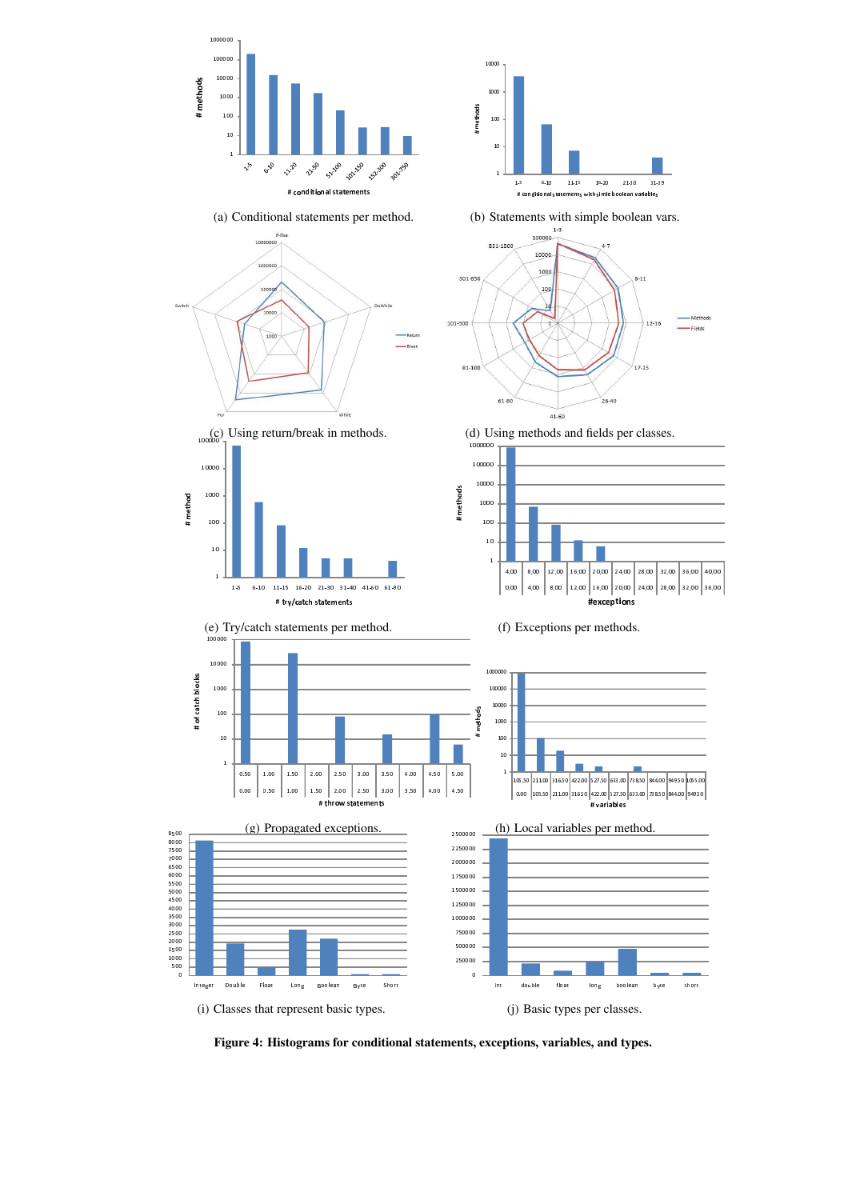

Figure 4: Histograms for conditional statements, exceptions, variables, and types.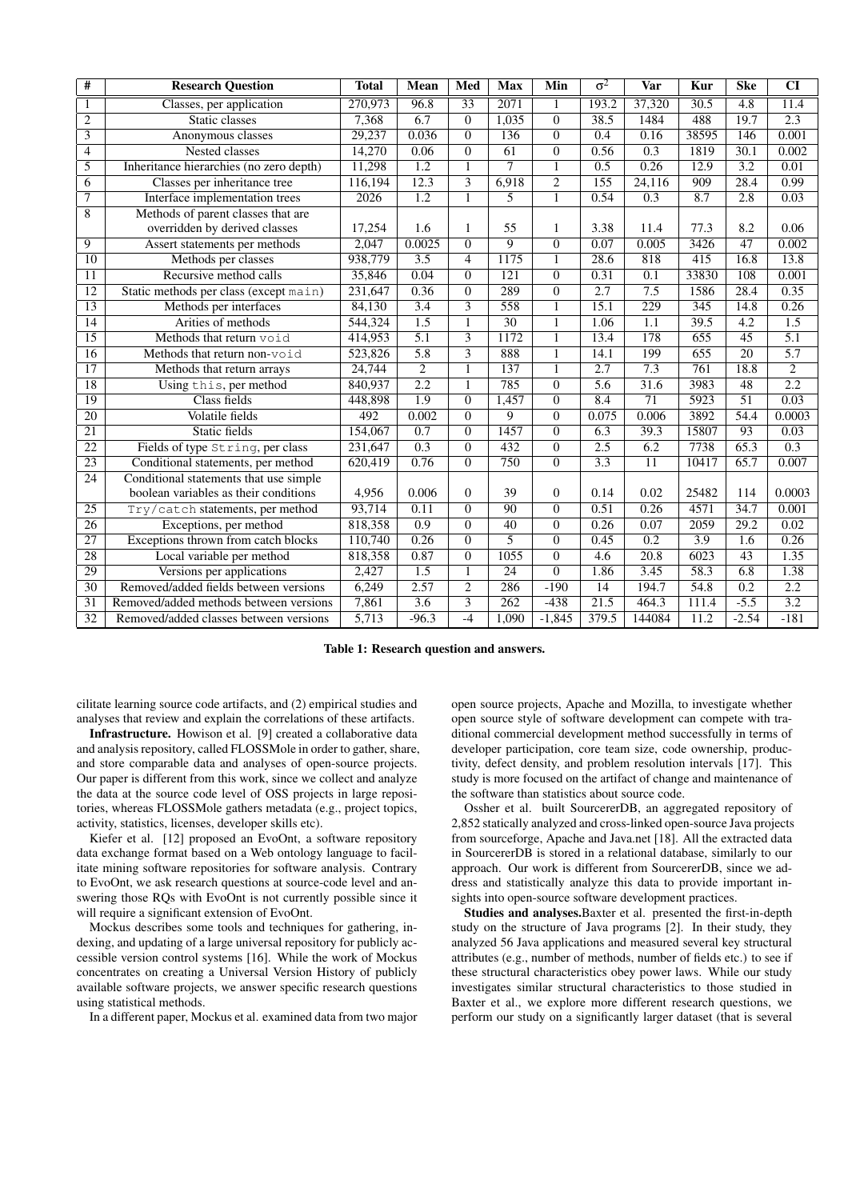| #                         | <b>Research Question</b>                | <b>Total</b>       | Mean             | Med             | <b>Max</b>       | Min            | $\sigma^2$        | Var               | Kur               | <b>Ske</b>       | CI               |
|---------------------------|-----------------------------------------|--------------------|------------------|-----------------|------------------|----------------|-------------------|-------------------|-------------------|------------------|------------------|
| 1                         | Classes, per application                | 270,973            | 96.8             | $\overline{33}$ | 2071             | $\mathbf{1}$   | 193.2             | 37,320            | 30.5              | $\overline{4.8}$ | 11.4             |
| $\overline{2}$            | <b>Static classes</b>                   | 7,368              | 6.7              | $\overline{0}$  | 1,035            | $\overline{0}$ | 38.5              | 1484              | 488               | 19.7             | 2.3              |
| $\overline{\overline{3}}$ | Anonymous classes                       | 29,237             | 0.036            | $\theta$        | 136              | $\overline{0}$ | 0.4               | 0.16              | 38595             | 146              | 0.001            |
| $\overline{4}$            | <b>Nested classes</b>                   | 14,270             | 0.06             | $\theta$        | 61               | $\mathbf{0}$   | 0.56              | 0.3               | 1819              | 30.1             | 0.002            |
| $\overline{5}$            | Inheritance hierarchies (no zero depth) | 11,298             | 1.2              | 1               | $\overline{7}$   | $\mathbf{1}$   | 0.5               | 0.26              | 12.9              | 3.2              | 0.01             |
| 6                         | Classes per inheritance tree            | 116,194            | 12.3             | $\overline{3}$  | 6,918            | $\overline{2}$ | 155               | 24,116            | 909               | 28.4             | 0.99             |
| 7                         | Interface implementation trees          | 2026               | $\overline{1.2}$ |                 | 5                | 1              | 0.54              | 0.3               | 8.7               | 2.8              | 0.03             |
| $\overline{8}$            | Methods of parent classes that are      |                    |                  |                 |                  |                |                   |                   |                   |                  |                  |
|                           | overridden by derived classes           | 17,254             | 1.6              | 1               | 55               | 1              | 3.38              | 11.4              | 77.3              | 8.2              | 0.06             |
| 9                         | Assert statements per methods           | 2.047              | 0.0025           | $\Omega$        | $\overline{9}$   | $\Omega$       | 0.07              | 0.005             | 3426              | $\overline{47}$  | 0.002            |
| 10                        | Methods per classes                     | 938,779            | 3.5              | $\overline{4}$  | 1175             | $\mathbf{1}$   | 28.6              | 818               | $\overline{415}$  | 16.8             | 13.8             |
| $\overline{11}$           | Recursive method calls                  | 35,846             | 0.04             | $\overline{0}$  | $\overline{121}$ | $\overline{0}$ | 0.31              | $\overline{0.1}$  | 33830             | 108              | 0.001            |
| $\overline{12}$           | Static methods per class (except main)  | 231,647            | 0.36             | $\Omega$        | 289              | $\Omega$       | 2.7               | $\overline{7.5}$  | 1586              | 28.4             | 0.35             |
| $\overline{13}$           | Methods per interfaces                  | 84,130             | 3.4              | $\overline{3}$  | 558              | $\overline{1}$ | 15.1              | 229               | 345               | 14.8             | 0.26             |
| $\overline{14}$           | Arities of methods                      | 544,324            | $\overline{1.5}$ | 1               | $\overline{30}$  | $\overline{1}$ | 1.06              | $\overline{1.1}$  | 39.5              | $\overline{4.2}$ | $\overline{1.5}$ |
| $\overline{15}$           | Methods that return void                | 414,953            | $\overline{5.1}$ | $\overline{3}$  | 1172             | $\mathbf{1}$   | 13.4              | 178               | 655               | $\overline{45}$  | $\overline{5.1}$ |
| 16                        | Methods that return non-void            | 523,826            | $\overline{5.8}$ | 3               | 888              | $\mathbf{1}$   | 14.1              | 199               | 655               | 20               | $\overline{5.7}$ |
| 17                        | Methods that return arrays              | 24,744             | $\overline{2}$   | 1               | 137              | $\mathbf{1}$   | 2.7               | 7.3               | 761               | 18.8             | $\overline{2}$   |
| $\overline{18}$           | Using this, per method                  | 840,937            | 2.2              | 1               | 785              | $\overline{0}$ | $\overline{5.6}$  | 31.6              | 3983              | $\overline{48}$  | 2.2              |
| 19                        | Class fields                            | 448,898            | $\overline{1.9}$ | $\Omega$        | 1,457            | $\mathbf{0}$   | 8.4               | $\overline{71}$   | 5923              | $\overline{51}$  | 0.03             |
| $\overline{20}$           | Volatile fields                         | 492                | 0.002            | $\Omega$        | $\overline{9}$   | $\mathbf{0}$   | 0.075             | 0.006             | 3892              | 54.4             | 0.0003           |
| $\overline{21}$           | Static fields                           | 154,067            | 0.7              | $\Omega$        | 1457             | $\overline{0}$ | 6.3               | 39.3              | 15807             | 93               | 0.03             |
| $\overline{22}$           | Fields of type String, per class        | 231,647            | 0.3              | $\overline{0}$  | 432              | $\overline{0}$ | 2.5               | 6.2               | 7738              | 65.3             | 0.3              |
| $\overline{23}$           | Conditional statements, per method      | 620,419            | 0.76             | $\theta$        | 750              | $\overline{0}$ | $\overline{3.3}$  | $\overline{11}$   | 10417             | 65.7             | 0.007            |
| $\overline{24}$           | Conditional statements that use simple  |                    |                  |                 |                  |                |                   |                   |                   |                  |                  |
|                           | boolean variables as their conditions   | 4,956              | 0.006            | $\Omega$        | 39               | $\overline{0}$ | 0.14              | 0.02              | 25482             | 114              | 0.0003           |
| 25                        | Try/catch statements, per method        | 93,714             | 0.11             | $\theta$        | 90               | $\mathbf{0}$   | 0.51              | 0.26              | 4571              | 34.7             | 0.001            |
| $\overline{26}$           | Exceptions, per method                  | 818,358            | 0.9              | $\Omega$        | 40               | $\overline{0}$ | 0.26              | 0.07              | 2059              | 29.2             | 0.02             |
| $\overline{27}$           | Exceptions thrown from catch blocks     | 110,740            | 0.26             | $\Omega$        | $\overline{5}$   | $\overline{0}$ | 0.45              | $\overline{0.2}$  | $\overline{3.9}$  | 1.6              | 0.26             |
| $\overline{28}$           | Local variable per method               | 818,358            | 0.87             | $\overline{0}$  | 1055             | $\overline{0}$ | 4.6               | $\overline{20.8}$ | 6023              | $\overline{43}$  | 1.35             |
| $\overline{29}$           | Versions per applications               | 2,427              | 1.5              | 1               | $\overline{24}$  | $\overline{0}$ | 1.86              | 3.45              | $\overline{58.3}$ | 6.8              | 1.38             |
| 30                        | Removed/added fields between versions   | 6,249              | 2.57             | $\overline{2}$  | 286              | $-190$         | 14                | 194.7             | 54.8              | 0.2              | 2.2              |
| $\overline{31}$           | Removed/added methods between versions  | 7,861              | 3.6              | $\overline{3}$  | 262              | $-438$         | $\overline{21.5}$ | 464.3             | 111.4             | $-5.5$           | 3.2              |
| $\overline{32}$           | Removed/added classes between versions  | $\overline{5,713}$ | $-96.3$          | $-4$            | 1.090            | $-1,845$       | 379.5             | 144084            | 11.2              | $-2.54$          | $-181$           |

|  | Table 1: Research question and answers. |  |  |  |
|--|-----------------------------------------|--|--|--|
|--|-----------------------------------------|--|--|--|

cilitate learning source code artifacts, and (2) empirical studies and analyses that review and explain the correlations of these artifacts.

Infrastructure. Howison et al. [9] created a collaborative data and analysis repository, called FLOSSMole in order to gather, share, and store comparable data and analyses of open-source projects. Our paper is different from this work, since we collect and analyze the data at the source code level of OSS projects in large repositories, whereas FLOSSMole gathers metadata (e.g., project topics, activity, statistics, licenses, developer skills etc).

Kiefer et al. [12] proposed an EvoOnt, a software repository data exchange format based on a Web ontology language to facilitate mining software repositories for software analysis. Contrary to EvoOnt, we ask research questions at source-code level and answering those RQs with EvoOnt is not currently possible since it will require a significant extension of EvoOnt.

Mockus describes some tools and techniques for gathering, indexing, and updating of a large universal repository for publicly accessible version control systems [16]. While the work of Mockus concentrates on creating a Universal Version History of publicly available software projects, we answer specific research questions using statistical methods.

In a different paper, Mockus et al. examined data from two major

open source projects, Apache and Mozilla, to investigate whether open source style of software development can compete with traditional commercial development method successfully in terms of developer participation, core team size, code ownership, productivity, defect density, and problem resolution intervals [17]. This study is more focused on the artifact of change and maintenance of the software than statistics about source code.

Ossher et al. built SourcererDB, an aggregated repository of 2,852 statically analyzed and cross-linked open-source Java projects from sourceforge, Apache and Java.net [18]. All the extracted data in SourcererDB is stored in a relational database, similarly to our approach. Our work is different from SourcererDB, since we address and statistically analyze this data to provide important insights into open-source software development practices.

Studies and analyses.Baxter et al. presented the first-in-depth study on the structure of Java programs [2]. In their study, they analyzed 56 Java applications and measured several key structural attributes (e.g., number of methods, number of fields etc.) to see if these structural characteristics obey power laws. While our study investigates similar structural characteristics to those studied in Baxter et al., we explore more different research questions, we perform our study on a significantly larger dataset (that is several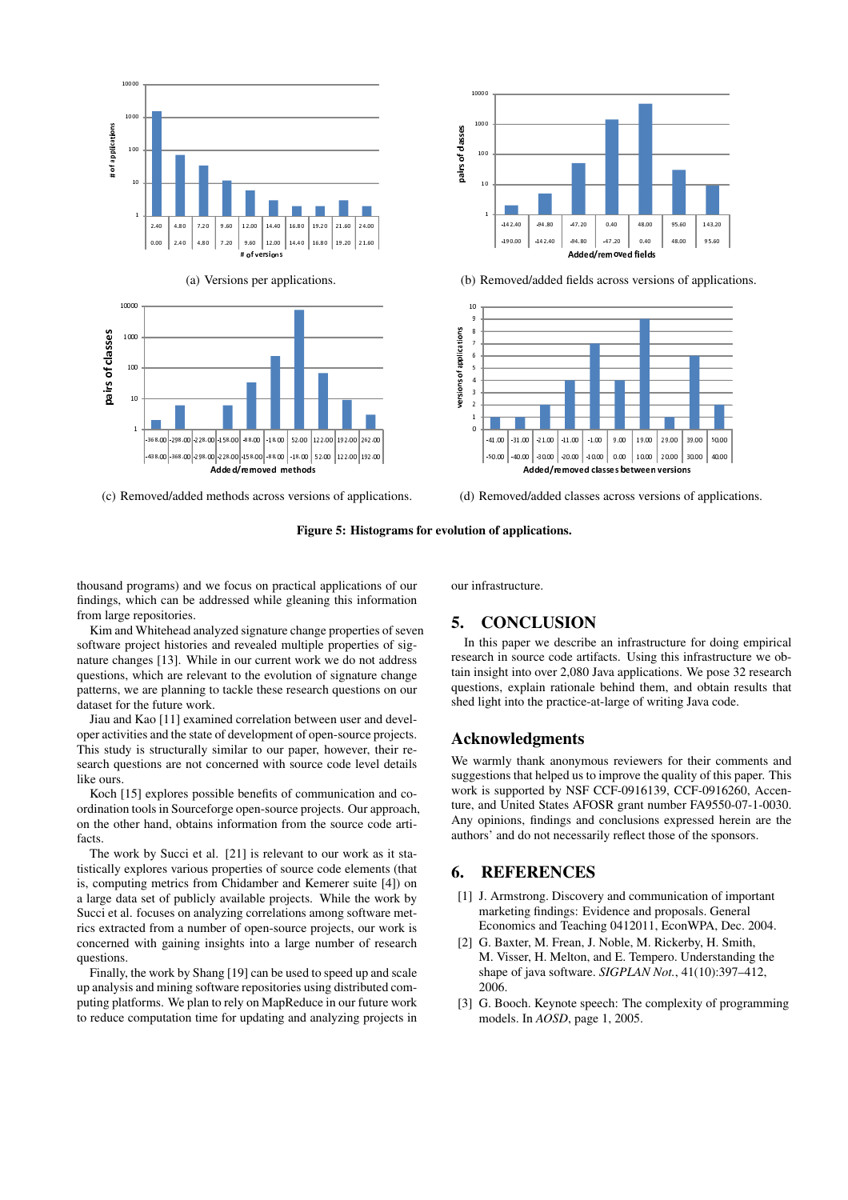

(c) Removed/added methods across versions of applications.



(b) Removed/added fields across versions of applications.



(d) Removed/added classes across versions of applications.

Figure 5: Histograms for evolution of applications.

thousand programs) and we focus on practical applications of our findings, which can be addressed while gleaning this information from large repositories.

Kim and Whitehead analyzed signature change properties of seven software project histories and revealed multiple properties of signature changes [13]. While in our current work we do not address questions, which are relevant to the evolution of signature change patterns, we are planning to tackle these research questions on our dataset for the future work.

Jiau and Kao [11] examined correlation between user and developer activities and the state of development of open-source projects. This study is structurally similar to our paper, however, their research questions are not concerned with source code level details like ours.

Koch [15] explores possible benefits of communication and coordination tools in Sourceforge open-source projects. Our approach, on the other hand, obtains information from the source code artifacts.

The work by Succi et al. [21] is relevant to our work as it statistically explores various properties of source code elements (that is, computing metrics from Chidamber and Kemerer suite [4]) on a large data set of publicly available projects. While the work by Succi et al. focuses on analyzing correlations among software metrics extracted from a number of open-source projects, our work is concerned with gaining insights into a large number of research questions.

Finally, the work by Shang [19] can be used to speed up and scale up analysis and mining software repositories using distributed computing platforms. We plan to rely on MapReduce in our future work to reduce computation time for updating and analyzing projects in our infrastructure.

# 5. CONCLUSION

In this paper we describe an infrastructure for doing empirical research in source code artifacts. Using this infrastructure we obtain insight into over 2,080 Java applications. We pose 32 research questions, explain rationale behind them, and obtain results that shed light into the practice-at-large of writing Java code.

#### Acknowledgments

We warmly thank anonymous reviewers for their comments and suggestions that helped us to improve the quality of this paper. This work is supported by NSF CCF-0916139, CCF-0916260, Accenture, and United States AFOSR grant number FA9550-07-1-0030. Any opinions, findings and conclusions expressed herein are the authors' and do not necessarily reflect those of the sponsors.

## 6. REFERENCES

- [1] J. Armstrong. Discovery and communication of important marketing findings: Evidence and proposals. General Economics and Teaching 0412011, EconWPA, Dec. 2004.
- [2] G. Baxter, M. Frean, J. Noble, M. Rickerby, H. Smith, M. Visser, H. Melton, and E. Tempero. Understanding the shape of java software. *SIGPLAN Not.*, 41(10):397–412, 2006.
- [3] G. Booch. Keynote speech: The complexity of programming models. In *AOSD*, page 1, 2005.